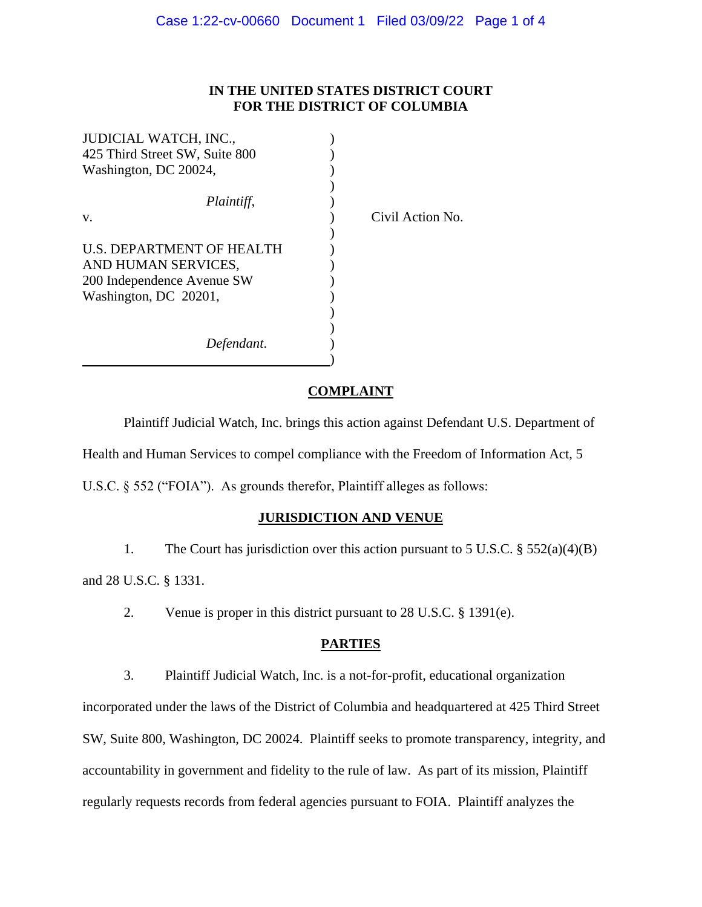# **IN THE UNITED STATES DISTRICT COURT FOR THE DISTRICT OF COLUMBIA**

Action No.

| JUDICIAL WATCH, INC.,          |       |
|--------------------------------|-------|
| 425 Third Street SW, Suite 800 |       |
| Washington, DC 20024,          |       |
|                                |       |
| Plaintiff,                     |       |
| V.                             | Civil |
|                                |       |
| U.S. DEPARTMENT OF HEALTH      |       |
| AND HUMAN SERVICES,            |       |
| 200 Independence Avenue SW     |       |
| Washington, DC 20201,          |       |
|                                |       |
|                                |       |
| Defendant.                     |       |
|                                |       |

#### **COMPLAINT**

Plaintiff Judicial Watch, Inc. brings this action against Defendant U.S. Department of Health and Human Services to compel compliance with the Freedom of Information Act, 5 U.S.C. § 552 ("FOIA"). As grounds therefor, Plaintiff alleges as follows:

#### **JURISDICTION AND VENUE**

1. The Court has jurisdiction over this action pursuant to 5 U.S.C. § 552(a)(4)(B) and 28 U.S.C. § 1331.

2. Venue is proper in this district pursuant to 28 U.S.C. § 1391(e).

### **PARTIES**

3. Plaintiff Judicial Watch, Inc. is a not-for-profit, educational organization incorporated under the laws of the District of Columbia and headquartered at 425 Third Street SW, Suite 800, Washington, DC 20024. Plaintiff seeks to promote transparency, integrity, and accountability in government and fidelity to the rule of law. As part of its mission, Plaintiff regularly requests records from federal agencies pursuant to FOIA. Plaintiff analyzes the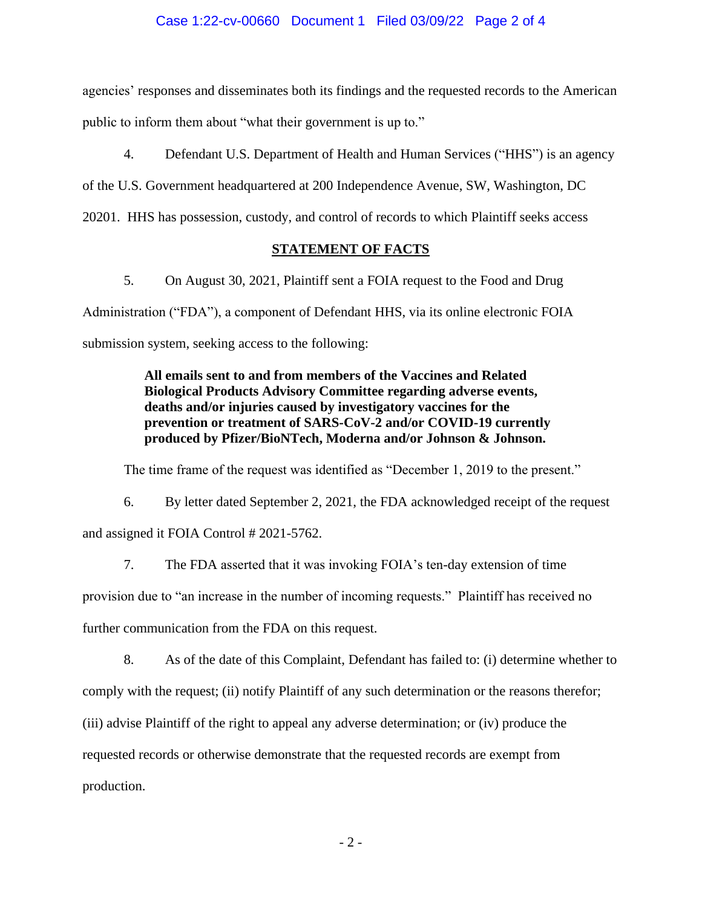#### Case 1:22-cv-00660 Document 1 Filed 03/09/22 Page 2 of 4

agencies' responses and disseminates both its findings and the requested records to the American public to inform them about "what their government is up to."

4. Defendant U.S. Department of Health and Human Services ("HHS") is an agency

of the U.S. Government headquartered at 200 Independence Avenue, SW, Washington, DC

20201. HHS has possession, custody, and control of records to which Plaintiff seeks access

# **STATEMENT OF FACTS**

5. On August 30, 2021, Plaintiff sent a FOIA request to the Food and Drug Administration ("FDA"), a component of Defendant HHS, via its online electronic FOIA submission system, seeking access to the following:

> **All emails sent to and from members of the Vaccines and Related Biological Products Advisory Committee regarding adverse events, deaths and/or injuries caused by investigatory vaccines for the prevention or treatment of SARS-CoV-2 and/or COVID-19 currently produced by Pfizer/BioNTech, Moderna and/or Johnson & Johnson.**

The time frame of the request was identified as "December 1, 2019 to the present."

6. By letter dated September 2, 2021, the FDA acknowledged receipt of the request and assigned it FOIA Control # 2021-5762.

7. The FDA asserted that it was invoking FOIA's ten-day extension of time provision due to "an increase in the number of incoming requests." Plaintiff has received no further communication from the FDA on this request.

8. As of the date of this Complaint, Defendant has failed to: (i) determine whether to comply with the request; (ii) notify Plaintiff of any such determination or the reasons therefor; (iii) advise Plaintiff of the right to appeal any adverse determination; or (iv) produce the requested records or otherwise demonstrate that the requested records are exempt from production.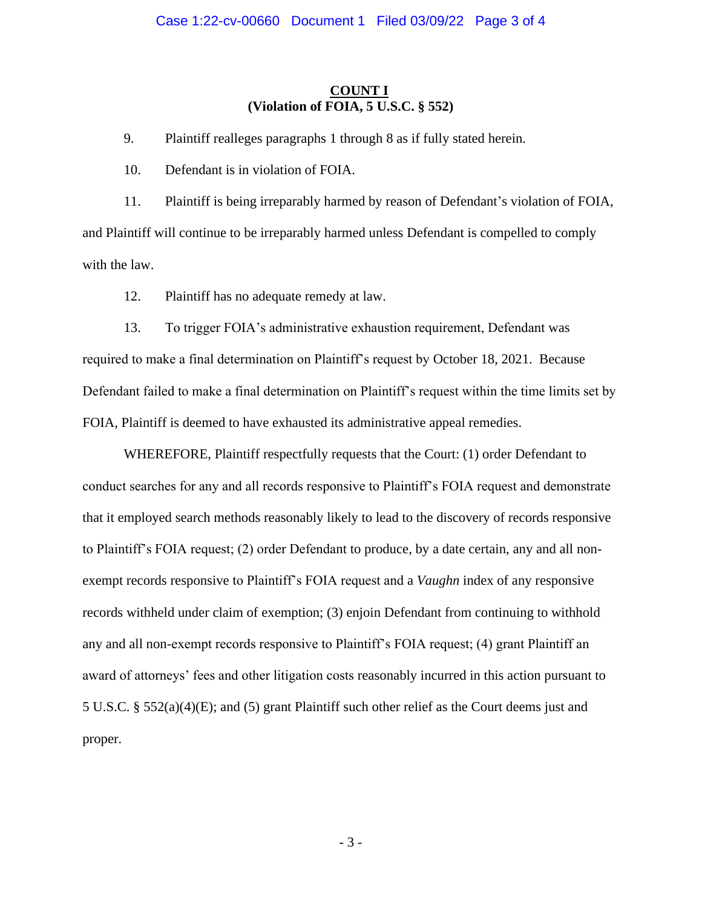# **COUNT I (Violation of FOIA, 5 U.S.C. § 552)**

9. Plaintiff realleges paragraphs 1 through 8 as if fully stated herein.

10. Defendant is in violation of FOIA.

11. Plaintiff is being irreparably harmed by reason of Defendant's violation of FOIA, and Plaintiff will continue to be irreparably harmed unless Defendant is compelled to comply with the law.

12. Plaintiff has no adequate remedy at law.

13. To trigger FOIA's administrative exhaustion requirement, Defendant was required to make a final determination on Plaintiff's request by October 18, 2021. Because Defendant failed to make a final determination on Plaintiff's request within the time limits set by FOIA, Plaintiff is deemed to have exhausted its administrative appeal remedies.

WHEREFORE, Plaintiff respectfully requests that the Court: (1) order Defendant to conduct searches for any and all records responsive to Plaintiff's FOIA request and demonstrate that it employed search methods reasonably likely to lead to the discovery of records responsive to Plaintiff's FOIA request; (2) order Defendant to produce, by a date certain, any and all nonexempt records responsive to Plaintiff's FOIA request and a *Vaughn* index of any responsive records withheld under claim of exemption; (3) enjoin Defendant from continuing to withhold any and all non-exempt records responsive to Plaintiff's FOIA request; (4) grant Plaintiff an award of attorneys' fees and other litigation costs reasonably incurred in this action pursuant to 5 U.S.C. § 552(a)(4)(E); and (5) grant Plaintiff such other relief as the Court deems just and proper.

- 3 -